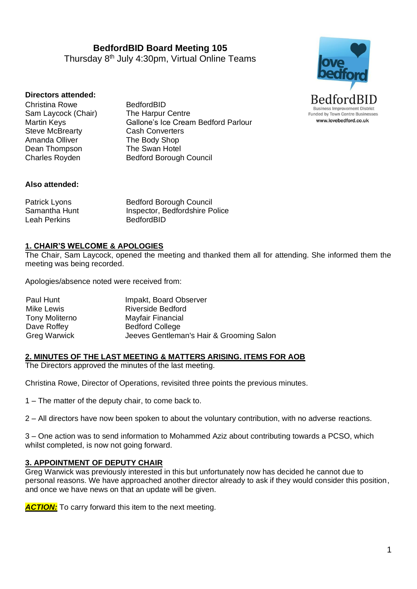**BedfordBID Board Meeting 105** Thursday 8<sup>th</sup> July 4:30pm, Virtual Online Teams



#### **Directors attended:**

Christina Rowe BedfordBID<br>
Sam Lavcock (Chair) The Harpur Centre Sam Laycock (Chair) Steve McBrearty **Cash Converters** Amanda Olliver The Body Shop Dean Thompson The Swan Hotel

Martin Keys Gallone's Ice Cream Bedford Parlour Charles Royden Bedford Borough Council

#### **Also attended:**

Patrick Lyons Bedford Borough Council Samantha Hunt Inspector, Bedfordshire Police Leah Perkins BedfordBID

#### **1. CHAIR'S WELCOME & APOLOGIES**

The Chair, Sam Laycock, opened the meeting and thanked them all for attending. She informed them the meeting was being recorded.

Apologies/absence noted were received from:

| Paul Hunt             | Impakt, Board Observer                   |
|-----------------------|------------------------------------------|
| Mike Lewis            | <b>Riverside Bedford</b>                 |
| <b>Tony Moliterno</b> | Mayfair Financial                        |
| Dave Roffey           | <b>Bedford College</b>                   |
| <b>Greg Warwick</b>   | Jeeves Gentleman's Hair & Grooming Salon |

## **2. MINUTES OF THE LAST MEETING & MATTERS ARISING. ITEMS FOR AOB**

The Directors approved the minutes of the last meeting.

Christina Rowe, Director of Operations, revisited three points the previous minutes.

1 – The matter of the deputy chair, to come back to.

2 – All directors have now been spoken to about the voluntary contribution, with no adverse reactions.

3 – One action was to send information to Mohammed Aziz about contributing towards a PCSO, which whilst completed, is now not going forward.

#### **3. APPOINTMENT OF DEPUTY CHAIR**

Greg Warwick was previously interested in this but unfortunately now has decided he cannot due to personal reasons. We have approached another director already to ask if they would consider this position, and once we have news on that an update will be given.

**ACTION:** To carry forward this item to the next meeting.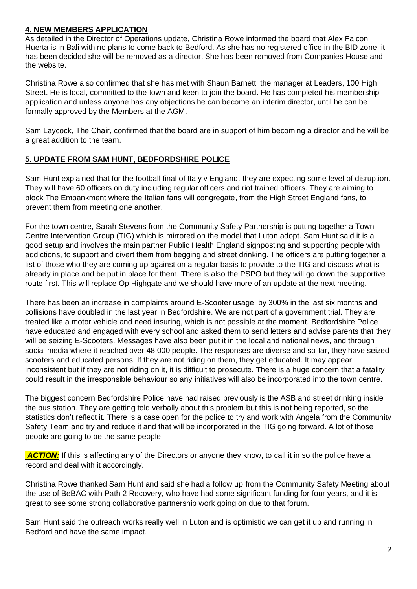# **4. NEW MEMBERS APPLICATION**

As detailed in the Director of Operations update, Christina Rowe informed the board that Alex Falcon Huerta is in Bali with no plans to come back to Bedford. As she has no registered office in the BID zone, it has been decided she will be removed as a director. She has been removed from Companies House and the website.

Christina Rowe also confirmed that she has met with Shaun Barnett, the manager at Leaders, 100 High Street. He is local, committed to the town and keen to join the board. He has completed his membership application and unless anyone has any objections he can become an interim director, until he can be formally approved by the Members at the AGM.

Sam Laycock, The Chair, confirmed that the board are in support of him becoming a director and he will be a great addition to the team.

# **5. UPDATE FROM SAM HUNT, BEDFORDSHIRE POLICE**

Sam Hunt explained that for the football final of Italy v England, they are expecting some level of disruption. They will have 60 officers on duty including regular officers and riot trained officers. They are aiming to block The Embankment where the Italian fans will congregate, from the High Street England fans, to prevent them from meeting one another.

For the town centre, Sarah Stevens from the Community Safety Partnership is putting together a Town Centre Intervention Group (TIG) which is mirrored on the model that Luton adopt. Sam Hunt said it is a good setup and involves the main partner Public Health England signposting and supporting people with addictions, to support and divert them from begging and street drinking. The officers are putting together a list of those who they are coming up against on a regular basis to provide to the TIG and discuss what is already in place and be put in place for them. There is also the PSPO but they will go down the supportive route first. This will replace Op Highgate and we should have more of an update at the next meeting.

There has been an increase in complaints around E-Scooter usage, by 300% in the last six months and collisions have doubled in the last year in Bedfordshire. We are not part of a government trial. They are treated like a motor vehicle and need insuring, which is not possible at the moment. Bedfordshire Police have educated and engaged with every school and asked them to send letters and advise parents that they will be seizing E-Scooters. Messages have also been put it in the local and national news, and through social media where it reached over 48,000 people. The responses are diverse and so far, they have seized scooters and educated persons. If they are not riding on them, they get educated. It may appear inconsistent but if they are not riding on it, it is difficult to prosecute. There is a huge concern that a fatality could result in the irresponsible behaviour so any initiatives will also be incorporated into the town centre.

The biggest concern Bedfordshire Police have had raised previously is the ASB and street drinking inside the bus station. They are getting told verbally about this problem but this is not being reported, so the statistics don't reflect it. There is a case open for the police to try and work with Angela from the Community Safety Team and try and reduce it and that will be incorporated in the TIG going forward. A lot of those people are going to be the same people.

**ACTION:** If this is affecting any of the Directors or anyone they know, to call it in so the police have a record and deal with it accordingly.

Christina Rowe thanked Sam Hunt and said she had a follow up from the Community Safety Meeting about the use of BeBAC with Path 2 Recovery, who have had some significant funding for four years, and it is great to see some strong collaborative partnership work going on due to that forum.

Sam Hunt said the outreach works really well in Luton and is optimistic we can get it up and running in Bedford and have the same impact.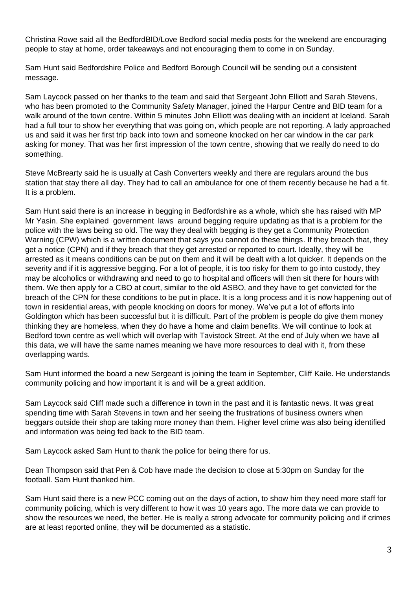Christina Rowe said all the BedfordBID/Love Bedford social media posts for the weekend are encouraging people to stay at home, order takeaways and not encouraging them to come in on Sunday.

Sam Hunt said Bedfordshire Police and Bedford Borough Council will be sending out a consistent message.

Sam Laycock passed on her thanks to the team and said that Sergeant John Elliott and Sarah Stevens, who has been promoted to the Community Safety Manager, joined the Harpur Centre and BID team for a walk around of the town centre. Within 5 minutes John Elliott was dealing with an incident at Iceland. Sarah had a full tour to show her everything that was going on, which people are not reporting. A lady approached us and said it was her first trip back into town and someone knocked on her car window in the car park asking for money. That was her first impression of the town centre, showing that we really do need to do something.

Steve McBrearty said he is usually at Cash Converters weekly and there are regulars around the bus station that stay there all day. They had to call an ambulance for one of them recently because he had a fit. It is a problem.

Sam Hunt said there is an increase in begging in Bedfordshire as a whole, which she has raised with MP Mr Yasin. She explained government laws around begging require updating as that is a problem for the police with the laws being so old. The way they deal with begging is they get a Community Protection Warning (CPW) which is a written document that says you cannot do these things. If they breach that, they get a notice (CPN) and if they breach that they get arrested or reported to court. Ideally, they will be arrested as it means conditions can be put on them and it will be dealt with a lot quicker. It depends on the severity and if it is aggressive begging. For a lot of people, it is too risky for them to go into custody, they may be alcoholics or withdrawing and need to go to hospital and officers will then sit there for hours with them. We then apply for a CBO at court, similar to the old ASBO, and they have to get convicted for the breach of the CPN for these conditions to be put in place. It is a long process and it is now happening out of town in residential areas, with people knocking on doors for money. We've put a lot of efforts into Goldington which has been successful but it is difficult. Part of the problem is people do give them money thinking they are homeless, when they do have a home and claim benefits. We will continue to look at Bedford town centre as well which will overlap with Tavistock Street. At the end of July when we have all this data, we will have the same names meaning we have more resources to deal with it, from these overlapping wards.

Sam Hunt informed the board a new Sergeant is joining the team in September, Cliff Kaile. He understands community policing and how important it is and will be a great addition.

Sam Laycock said Cliff made such a difference in town in the past and it is fantastic news. It was great spending time with Sarah Stevens in town and her seeing the frustrations of business owners when beggars outside their shop are taking more money than them. Higher level crime was also being identified and information was being fed back to the BID team.

Sam Laycock asked Sam Hunt to thank the police for being there for us.

Dean Thompson said that Pen & Cob have made the decision to close at 5:30pm on Sunday for the football. Sam Hunt thanked him.

Sam Hunt said there is a new PCC coming out on the days of action, to show him they need more staff for community policing, which is very different to how it was 10 years ago. The more data we can provide to show the resources we need, the better. He is really a strong advocate for community policing and if crimes are at least reported online, they will be documented as a statistic.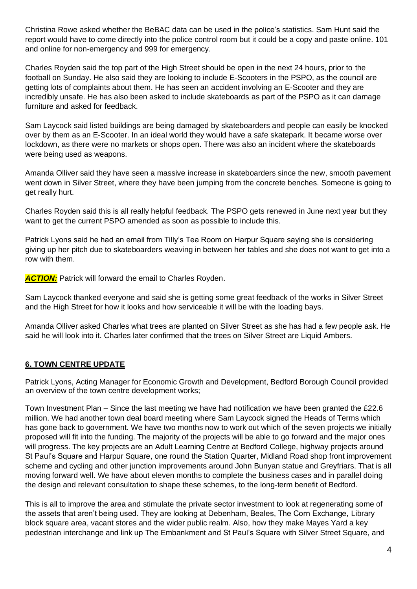Christina Rowe asked whether the BeBAC data can be used in the police's statistics. Sam Hunt said the report would have to come directly into the police control room but it could be a copy and paste online. 101 and online for non-emergency and 999 for emergency.

Charles Royden said the top part of the High Street should be open in the next 24 hours, prior to the football on Sunday. He also said they are looking to include E-Scooters in the PSPO, as the council are getting lots of complaints about them. He has seen an accident involving an E-Scooter and they are incredibly unsafe. He has also been asked to include skateboards as part of the PSPO as it can damage furniture and asked for feedback.

Sam Laycock said listed buildings are being damaged by skateboarders and people can easily be knocked over by them as an E-Scooter. In an ideal world they would have a safe skatepark. It became worse over lockdown, as there were no markets or shops open. There was also an incident where the skateboards were being used as weapons.

Amanda Olliver said they have seen a massive increase in skateboarders since the new, smooth pavement went down in Silver Street, where they have been jumping from the concrete benches. Someone is going to get really hurt.

Charles Royden said this is all really helpful feedback. The PSPO gets renewed in June next year but they want to get the current PSPO amended as soon as possible to include this.

Patrick Lyons said he had an email from Tilly's Tea Room on Harpur Square saying she is considering giving up her pitch due to skateboarders weaving in between her tables and she does not want to get into a row with them.

**ACTION:** Patrick will forward the email to Charles Royden.

Sam Laycock thanked everyone and said she is getting some great feedback of the works in Silver Street and the High Street for how it looks and how serviceable it will be with the loading bays.

Amanda Olliver asked Charles what trees are planted on Silver Street as she has had a few people ask. He said he will look into it. Charles later confirmed that the trees on Silver Street are Liquid Ambers.

# **6. TOWN CENTRE UPDATE**

Patrick Lyons, Acting Manager for Economic Growth and Development, Bedford Borough Council provided an overview of the town centre development works;

Town Investment Plan – Since the last meeting we have had notification we have been granted the £22.6 million. We had another town deal board meeting where Sam Laycock signed the Heads of Terms which has gone back to government. We have two months now to work out which of the seven projects we initially proposed will fit into the funding. The majority of the projects will be able to go forward and the major ones will progress. The key projects are an Adult Learning Centre at Bedford College, highway projects around St Paul's Square and Harpur Square, one round the Station Quarter, Midland Road shop front improvement scheme and cycling and other junction improvements around John Bunyan statue and Greyfriars. That is all moving forward well. We have about eleven months to complete the business cases and in parallel doing the design and relevant consultation to shape these schemes, to the long-term benefit of Bedford.

This is all to improve the area and stimulate the private sector investment to look at regenerating some of the assets that aren't being used. They are looking at Debenham, Beales, The Corn Exchange, Library block square area, vacant stores and the wider public realm. Also, how they make Mayes Yard a key pedestrian interchange and link up The Embankment and St Paul's Square with Silver Street Square, and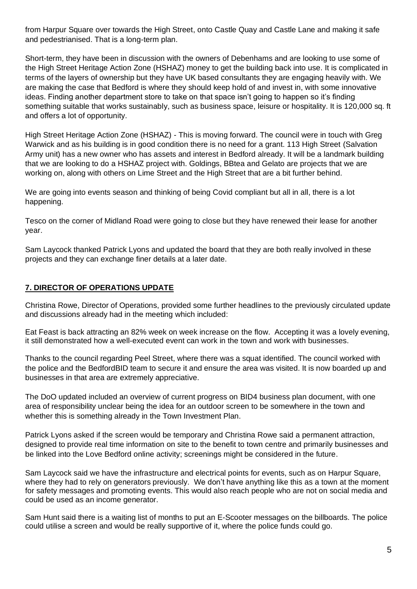from Harpur Square over towards the High Street, onto Castle Quay and Castle Lane and making it safe and pedestrianised. That is a long-term plan.

Short-term, they have been in discussion with the owners of Debenhams and are looking to use some of the High Street Heritage Action Zone (HSHAZ) money to get the building back into use. It is complicated in terms of the layers of ownership but they have UK based consultants they are engaging heavily with. We are making the case that Bedford is where they should keep hold of and invest in, with some innovative ideas. Finding another department store to take on that space isn't going to happen so it's finding something suitable that works sustainably, such as business space, leisure or hospitality. It is 120,000 sq. ft and offers a lot of opportunity.

High Street Heritage Action Zone (HSHAZ) - This is moving forward. The council were in touch with Greg Warwick and as his building is in good condition there is no need for a grant. 113 High Street (Salvation Army unit) has a new owner who has assets and interest in Bedford already. It will be a landmark building that we are looking to do a HSHAZ project with. Goldings, BBtea and Gelato are projects that we are working on, along with others on Lime Street and the High Street that are a bit further behind.

We are going into events season and thinking of being Covid compliant but all in all, there is a lot happening.

Tesco on the corner of Midland Road were going to close but they have renewed their lease for another year.

Sam Laycock thanked Patrick Lyons and updated the board that they are both really involved in these projects and they can exchange finer details at a later date.

# **7. DIRECTOR OF OPERATIONS UPDATE**

Christina Rowe, Director of Operations, provided some further headlines to the previously circulated update and discussions already had in the meeting which included:

Eat Feast is back attracting an 82% week on week increase on the flow. Accepting it was a lovely evening, it still demonstrated how a well-executed event can work in the town and work with businesses.

Thanks to the council regarding Peel Street, where there was a squat identified. The council worked with the police and the BedfordBID team to secure it and ensure the area was visited. It is now boarded up and businesses in that area are extremely appreciative.

The DoO updated included an overview of current progress on BID4 business plan document, with one area of responsibility unclear being the idea for an outdoor screen to be somewhere in the town and whether this is something already in the Town Investment Plan.

Patrick Lyons asked if the screen would be temporary and Christina Rowe said a permanent attraction, designed to provide real time information on site to the benefit to town centre and primarily businesses and be linked into the Love Bedford online activity; screenings might be considered in the future.

Sam Laycock said we have the infrastructure and electrical points for events, such as on Harpur Square, where they had to rely on generators previously. We don't have anything like this as a town at the moment for safety messages and promoting events. This would also reach people who are not on social media and could be used as an income generator.

Sam Hunt said there is a waiting list of months to put an E-Scooter messages on the billboards. The police could utilise a screen and would be really supportive of it, where the police funds could go.